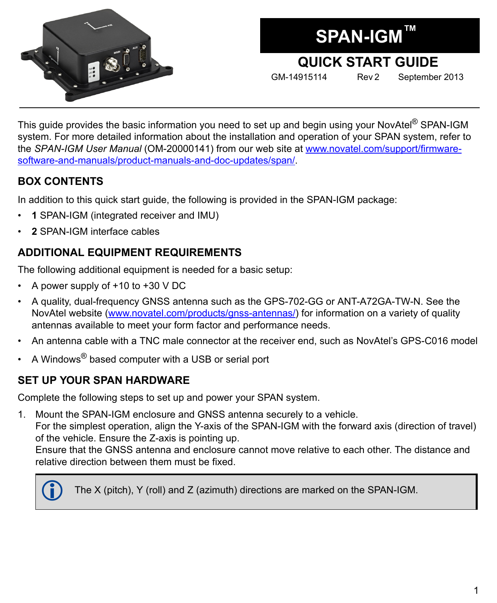

**SPAN-IGM™**

# **QUICK START GUIDE**

GM-14915114 Rev 2 September 2013

This guide provides the basic information you need to set up and begin using your NovAtel® SPAN-IGM system. For more detailed information about the installation and operation of your SPAN system, refer to the *SPAN-IGM User Manual* (OM-20000141) from our web site at [www.novatel.com/support/firmware](http://www.novatel.com/support/firmware-software-and-manuals/product-manuals-and-doc-updates/span/)[software-and-manuals/product-manuals-and-doc-updates/span/](http://www.novatel.com/support/firmware-software-and-manuals/product-manuals-and-doc-updates/span/).

#### **BOX CONTENTS**

In addition to this quick start guide, the following is provided in the SPAN-IGM package:

- **1** SPAN-IGM (integrated receiver and IMU)
- **2** SPAN-IGM interface cables

# **ADDITIONAL EQUIPMENT REQUIREMENTS**

The following additional equipment is needed for a basic setup:

- A power supply of  $+10$  to  $+30$  V DC
- A quality, dual-frequency GNSS antenna such as the GPS-702-GG or ANT-A72GA-TW-N. See the NovAtel website (www.novatel.com/products/gnss-antennas/) for information on a variety of quality antennas available to meet your form factor and performance needs.
- An antenna cable with a TNC male connector at the receiver end, such as NovAtel's GPS-C016 model
- A Windows® based computer with a USB or serial port

# **SET UP YOUR SPAN HARDWARE**

Complete the following steps to set up and power your SPAN system.

1. Mount the SPAN-IGM enclosure and GNSS antenna securely to a vehicle.

For the simplest operation, align the Y-axis of the SPAN-IGM with the forward axis (direction of travel) of the vehicle. Ensure the Z-axis is pointing up.

Ensure that the GNSS antenna and enclosure cannot move relative to each other. The distance and relative direction between them must be fixed.



The X (pitch), Y (roll) and Z (azimuth) directions are marked on the SPAN-IGM.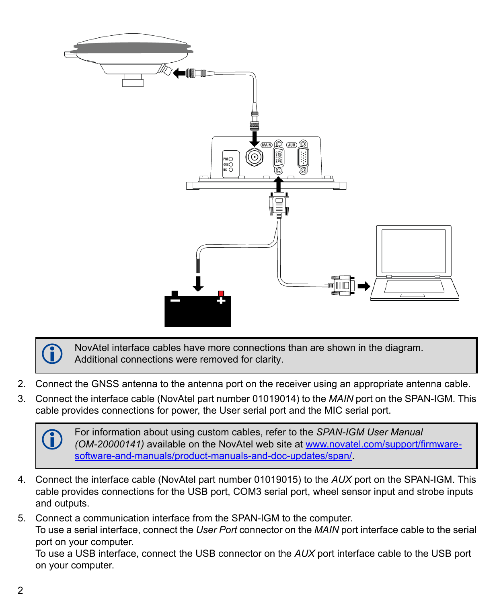

 NovAtel interface cables have more connections than are shown in the diagram. Additional connections were removed for clarity.

- 2. Connect the GNSS antenna to the antenna port on the receiver using an appropriate antenna cable.
- 3. Connect the interface cable (NovAtel part number 01019014) to the *MAIN* port on the SPAN-IGM. This cable provides connections for power, the User serial port and the MIC serial port.

For information about using custom cables, refer to the *SPAN-IGM User Manual*<br> *(OM-20000141)* available on the NovAtel web site at [www.novatel.com/support/firmware](http://www.novatel.com/support/firmware-software-and-manuals/product-manuals-and-doc-updates/span/)[software-and-manuals/product-manuals-and-doc-updates/span/](http://www.novatel.com/support/firmware-software-and-manuals/product-manuals-and-doc-updates/span/).

4. Connect the interface cable (NovAtel part number 01019015) to the *AUX* port on the SPAN-IGM. This cable provides connections for the USB port, COM3 serial port, wheel sensor input and strobe inputs and outputs.

5. Connect a communication interface from the SPAN-IGM to the computer. To use a serial interface, connect the *User Port* connector on the *MAIN* port interface cable to the serial port on your computer.

To use a USB interface, connect the USB connector on the *AUX* port interface cable to the USB port on your computer.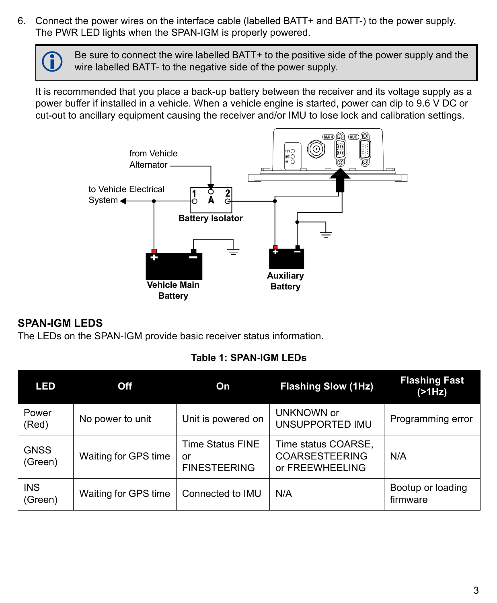6. Connect the power wires on the interface cable (labelled BATT+ and BATT-) to the power supply. The PWR LED lights when the SPAN-IGM is properly powered.

> Be sure to connect the wire labelled BATT+ to the positive side of the power supply and the wire labelled BATT- to the negative side of the power supply.

It is recommended that you place a back-up battery between the receiver and its voltage supply as a power buffer if installed in a vehicle. When a vehicle engine is started, power can dip to 9.6 V DC or cut-out to ancillary equipment causing the receiver and/or IMU to lose lock and calibration settings.



#### **SPAN-IGM LEDS**

The LEDs on the SPAN-IGM provide basic receiver status information.

#### **Table 1: SPAN-IGM LEDs**

| LED                    | Off                  | On                                            | <b>Flashing Slow (1Hz)</b>                                      | <b>Flashing Fast</b><br>(21Hz) |  |
|------------------------|----------------------|-----------------------------------------------|-----------------------------------------------------------------|--------------------------------|--|
| Power<br>(Red)         | No power to unit     | Unit is powered on                            | UNKNOWN or<br>UNSUPPORTED IMU                                   | Programming error              |  |
| <b>GNSS</b><br>(Green) | Waiting for GPS time | Time Status FINE<br>or<br><b>FINESTEERING</b> | Time status COARSE,<br><b>COARSESTEERING</b><br>or FREEWHEELING | N/A                            |  |
| <b>INS</b><br>(Green)  | Waiting for GPS time | Connected to IMU                              | N/A                                                             | Bootup or loading<br>firmware  |  |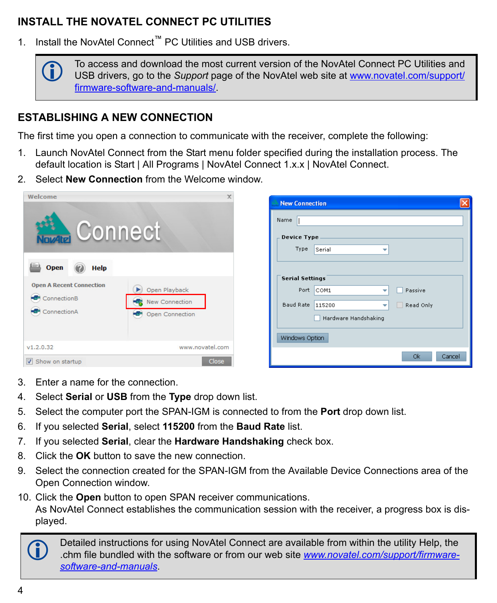# **INSTALL THE NOVATEL CONNECT PC UTILITIES**

1. Install the NovAtel Connect™ PC Utilities and USB drivers.



#### **ESTABLISHING A NEW CONNECTION**

The first time you open a connection to communicate with the receiver, complete the following:

- 1. Launch NovAtel Connect from the Start menu folder specified during the installation process. The default location is Start | All Programs | NovAtel Connect 1.x.x | NovAtel Connect.
- 2. Select **New Connection** from the Welcome window.

| Welcome                                                       | $\times$                                                            | [x]<br><b>New Connection</b>                                                                                                                               |
|---------------------------------------------------------------|---------------------------------------------------------------------|------------------------------------------------------------------------------------------------------------------------------------------------------------|
| <b>Connect</b><br><b>Open</b><br><b>Help</b>                  |                                                                     | Name<br>Device Type<br>Type<br>Serial<br>▼                                                                                                                 |
| <b>Open A Recent Connection</b><br>ConnectionB<br>ConnectionA | Open Playback<br><b>New Connection</b><br>독<br>æ<br>Open Connection | <b>Serial Settings</b><br>Port COM1<br>Passive<br>v<br>Baud Rate 115200<br>Read Only<br>$\overline{\phantom{a}}$<br>Hardware Handshaking<br>Windows Option |
| V1.2.0.32<br>Show on startup                                  | www.novatel.com<br>Close                                            | <b>Ok</b><br>Cancel                                                                                                                                        |

- 3. Enter a name for the connection.
- 4. Select **Serial** or **USB** from the **Type** drop down list.
- 5. Select the computer port the SPAN-IGM is connected to from the **Port** drop down list.
- 6. If you selected **Serial**, select **115200** from the **Baud Rate** list.
- 7. If you selected **Serial**, clear the **Hardware Handshaking** check box.
- 8. Click the **OK** button to save the new connection.
- 9. Select the connection created for the SPAN-IGM from the Available Device Connections area of the Open Connection window.
- 10. Click the **Open** button to open SPAN receiver communications. As NovAtel Connect establishes the communication session with the receiver, a progress box is displayed.

Detailed instructions for using NovAtel Connect are available from within the utility Help, the chm file bundled with the software or from our web site *[www.novatel.com/support/firmware](http://www.novatel.com/support/firmware-software-and-manuals/firmware-software-updates/novatel-connect/)[software-and-manuals](http://www.novatel.com/support/firmware-software-and-manuals/firmware-software-updates/novatel-connect/)*.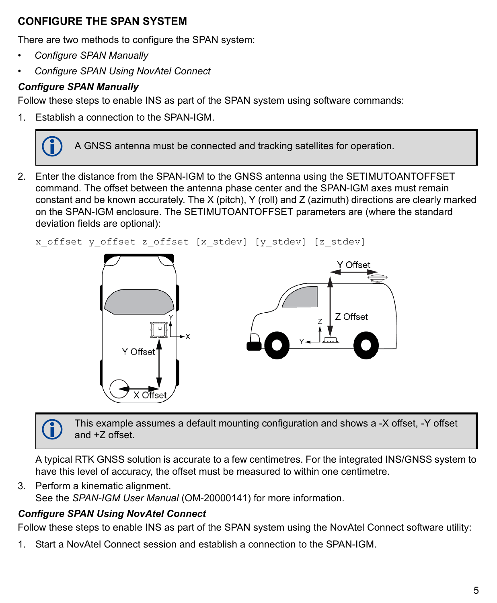### **CONFIGURE THE SPAN SYSTEM**

There are two methods to configure the SPAN system:

- • *[Configure SPAN Manually](#page-4-0)*
- • *[Configure SPAN Using NovAtel Connect](#page-4-1)*

# <span id="page-4-0"></span>*Configure SPAN Manually*

Follow these steps to enable INS as part of the SPAN system using software commands:

1. Establish a connection to the SPAN-IGM.



2. Enter the distance from the SPAN-IGM to the GNSS antenna using the SETIMUTOANTOFFSET command. The offset between the antenna phase center and the SPAN-IGM axes must remain constant and be known accurately. The X (pitch), Y (roll) and Z (azimuth) directions are clearly marked on the SPAN-IGM enclosure. The SETIMUTOANTOFFSET parameters are (where the standard deviation fields are optional):

```
x offset y offset z offset [x_stdev] [y_stdev] [z_stdev]
```


 This example assumes a default mounting configuration and shows a -X offset, -Y offset and +Z offset.

A typical RTK GNSS solution is accurate to a few centimetres. For the integrated INS/GNSS system to have this level of accuracy, the offset must be measured to within one centimetre.

3. Perform a kinematic alignment. See the *SPAN-IGM User Manual* (OM-20000141) for more information.

### <span id="page-4-1"></span>*Configure SPAN Using NovAtel Connect*

Follow these steps to enable INS as part of the SPAN system using the NovAtel Connect software utility:

1. Start a NovAtel Connect session and establish a connection to the SPAN-IGM.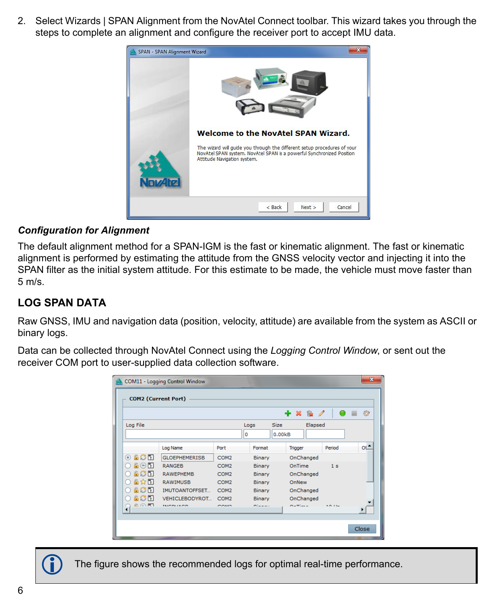2. Select Wizards | SPAN Alignment from the NovAtel Connect toolbar. This wizard takes you through the steps to complete an alignment and configure the receiver port to accept IMU data.



#### *Configuration for Alignment*

The default alignment method for a SPAN-IGM is the fast or kinematic alignment. The fast or kinematic alignment is performed by estimating the attitude from the GNSS velocity vector and injecting it into the SPAN filter as the initial system attitude. For this estimate to be made, the vehicle must move faster than 5 m/s.

#### **LOG SPAN DATA**

Raw GNSS, IMU and navigation data (position, velocity, attitude) are available from the system as ASCII or binary logs.

Data can be collected through NovAtel Connect using the *Logging Control Window*, or sent out the receiver COM port to user-supplied data collection software.

| <b>COM11 - Logging Control Window</b>      |                 |                       |                  |   | $\mathbf{x}$  |        |                |                |  |                 |
|--------------------------------------------|-----------------|-----------------------|------------------|---|---------------|--------|----------------|----------------|--|-----------------|
| <b>COM2 (Current Port)</b>                 |                 |                       |                  |   |               |        |                |                |  |                 |
|                                            |                 |                       |                  |   |               |        | + ※ 応 ∥        |                |  | 烫               |
| Log File<br><b>Size</b><br>Elapsed<br>Logs |                 |                       |                  |   |               |        |                |                |  |                 |
|                                            |                 |                       |                  | o |               | 0.00kB |                |                |  |                 |
|                                            |                 | Log Name              | Port             |   | Format        |        | <b>Trigger</b> | Period         |  | ot <sup>*</sup> |
|                                            | 6C R<br>$\odot$ | <b>GLOEPHEMERISB</b>  | COM <sub>2</sub> |   | <b>Binary</b> |        | OnChanged      |                |  |                 |
|                                            | 自由同             | <b>RANGEB</b>         | COM <sub>2</sub> |   | <b>Binary</b> |        | OnTime         | 1 <sub>s</sub> |  |                 |
|                                            | 60N             | <b>RAWEPHEMB</b>      | COM <sub>2</sub> |   | <b>Binary</b> |        | OnChanged      |                |  |                 |
|                                            | 自會同             | <b>RAWIMUSB</b>       | COM <sub>2</sub> |   | <b>Binary</b> |        | OnNew          |                |  |                 |
|                                            | 6C R            | <b>IMUTOANTOFFSET</b> | COM <sub>2</sub> |   | <b>Binary</b> |        | OnChanged      |                |  |                 |
|                                            | 600             | <b>VEHICLEBODYROT</b> | COM <sub>2</sub> |   | <b>Binary</b> |        | OnChanged      |                |  |                 |
|                                            | 企介国             | TRICOLIACO            | 70.15            |   | million in a  |        | ヘーティー・         | $+0.11-$       |  | ▸               |
|                                            |                 |                       |                  |   |               |        |                |                |  |                 |
|                                            |                 |                       |                  |   |               |        |                |                |  | Close           |
|                                            |                 |                       |                  |   |               |        |                |                |  |                 |



The figure shows the recommended logs for optimal real-time performance.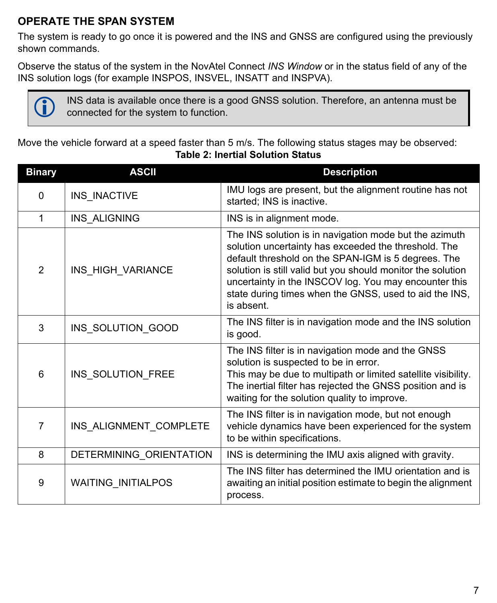### **OPERATE THE SPAN SYSTEM**

The system is ready to go once it is powered and the INS and GNSS are configured using the previously shown commands.

Observe the status of the system in the NovAtel Connect *INS Window* or in the status field of any of the INS solution logs (for example INSPOS, INSVEL, INSATT and INSPVA).



 INS data is available once there is a good GNSS solution. Therefore, an antenna must be connected for the system to function.

Move the vehicle forward at a speed faster than 5 m/s. The following status stages may be observed: **Table 2: Inertial Solution Status**

| <b>Binary</b>  | <b>ASCII</b>            | <b>Description</b>                                                                                                                                                                                                                                                                                                                                                    |
|----------------|-------------------------|-----------------------------------------------------------------------------------------------------------------------------------------------------------------------------------------------------------------------------------------------------------------------------------------------------------------------------------------------------------------------|
| $\Omega$       | INS_INACTIVE            | IMU logs are present, but the alignment routine has not<br>started; INS is inactive.                                                                                                                                                                                                                                                                                  |
| 1              | INS_ALIGNING            | INS is in alignment mode.                                                                                                                                                                                                                                                                                                                                             |
| $\overline{2}$ | INS_HIGH_VARIANCE       | The INS solution is in navigation mode but the azimuth<br>solution uncertainty has exceeded the threshold. The<br>default threshold on the SPAN-IGM is 5 degrees. The<br>solution is still valid but you should monitor the solution<br>uncertainty in the INSCOV log. You may encounter this<br>state during times when the GNSS, used to aid the INS,<br>is absent. |
| 3              | INS_SOLUTION_GOOD       | The INS filter is in navigation mode and the INS solution<br>is good.                                                                                                                                                                                                                                                                                                 |
| 6              | INS_SOLUTION_FREE       | The INS filter is in navigation mode and the GNSS<br>solution is suspected to be in error.<br>This may be due to multipath or limited satellite visibility.<br>The inertial filter has rejected the GNSS position and is<br>waiting for the solution quality to improve.                                                                                              |
| $\overline{7}$ | INS_ALIGNMENT_COMPLETE  | The INS filter is in navigation mode, but not enough<br>vehicle dynamics have been experienced for the system<br>to be within specifications.                                                                                                                                                                                                                         |
| 8              | DETERMINING_ORIENTATION | INS is determining the IMU axis aligned with gravity.                                                                                                                                                                                                                                                                                                                 |
| 9              | WAITING_INITIALPOS      | The INS filter has determined the IMU orientation and is<br>awaiting an initial position estimate to begin the alignment<br>process.                                                                                                                                                                                                                                  |